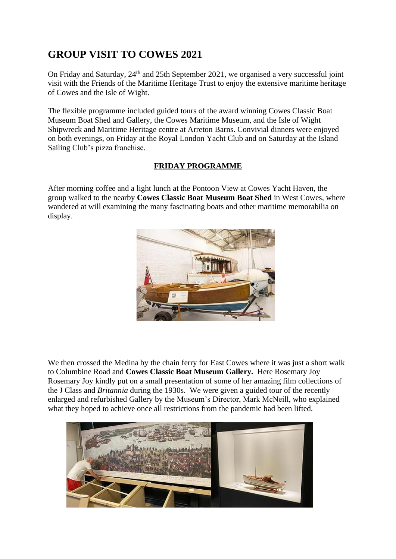## **GROUP VISIT TO COWES 2021**

On Friday and Saturday, 24<sup>th</sup> and 25th September 2021, we organised a very successful joint visit with the Friends of the Maritime Heritage Trust to enjoy the extensive maritime heritage of Cowes and the Isle of Wight.

The flexible programme included guided tours of the award winning Cowes Classic Boat Museum Boat Shed and Gallery, the Cowes Maritime Museum, and the Isle of Wight Shipwreck and Maritime Heritage centre at Arreton Barns. Convivial dinners were enjoyed on both evenings, on Friday at the Royal London Yacht Club and on Saturday at the Island Sailing Club's pizza franchise.

## **FRIDAY PROGRAMME**

After morning coffee and a light lunch at the Pontoon View at Cowes Yacht Haven, the group walked to the nearby **Cowes Classic Boat Museum Boat Shed** in West Cowes, where wandered at will examining the many fascinating boats and other maritime memorabilia on display.



We then crossed the Medina by the chain ferry for East Cowes where it was just a short walk to Columbine Road and **Cowes Classic Boat Museum Gallery.** Here Rosemary Joy Rosemary Joy kindly put on a small presentation of some of her amazing film collections of the J Class and *Britannia* during the 1930s. We were given a guided tour of the recently enlarged and refurbished Gallery by the Museum's Director, Mark McNeill, who explained what they hoped to achieve once all restrictions from the pandemic had been lifted.

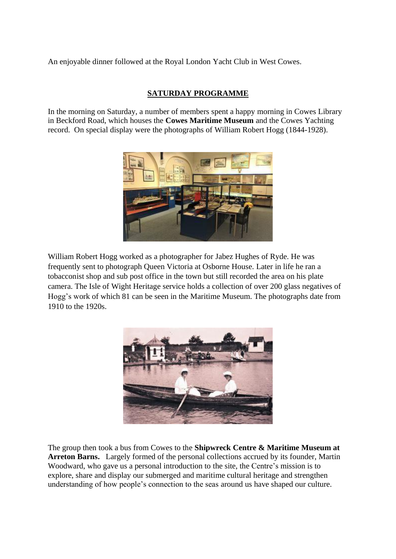An enjoyable dinner followed at the Royal London Yacht Club in West Cowes.

## **SATURDAY PROGRAMME**

In the morning on Saturday, a number of members spent a happy morning in Cowes Library in Beckford Road, which houses the **Cowes Maritime Museum** and the Cowes Yachting record. On special display were the photographs of William Robert Hogg (1844-1928).



[William](https://www.iwight.com/azservices/documents/2037-TEXT-William-Robert-Hogg-v2-checked.pdf) Robert Hogg worked as a photographer for Jabez Hughes of Ryde. He was frequently sent to photograph Queen Victoria at Osborne House. Later in life he ran a tobacconist shop and sub post office in the town but still recorded the area on his plate camera. The Isle of Wight Heritage service holds a collection of over 200 glass negatives of Hogg's work of which 81 can be seen in the Maritime Museum. The photographs date from 1910 to the 1920s.



The group then took a bus from Cowes to the **Shipwreck Centre & Maritime Museum at Arreton Barns.** Largely formed of the personal collections accrued by its founder, Martin Woodward, who gave us a personal introduction to the site, the Centre's mission is to explore, share and display our submerged and maritime cultural heritage and strengthen understanding of how people's connection to the seas around us have shaped our culture.